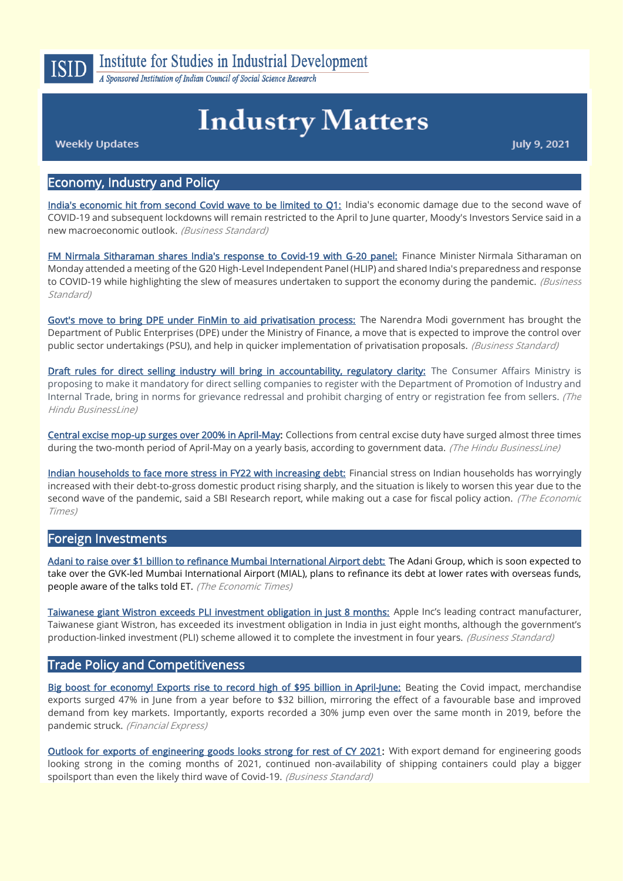

A Sponsored Institution of Indian Council of Social Science Research

# **Industry Matters**

**Weekly Updates** 

July 9, 2021

## Economy, Industry and Policy

[India's economic hit from second Covid wave to be limited to Q1:](https://www.business-standard.com/article/economy-policy/india-s-economic-hit-from-second-covid-wave-to-be-limited-to-q1-moody-s-121070200555_1.html) India's economic damage due to the second wave of COVID-19 and subsequent lockdowns will remain restricted to the April to June quarter, Moody's Investors Service said in a new macroeconomic outlook. (Business Standard)

[FM Nirmala Sitharaman shares India's response to Covid-19 with G-20 panel:](https://www.business-standard.com/article/pti-stories/fm-nirmala-sitharaman-shares-india-s-response-to-covid-19-with-g-20-panel-121070501370_1.html) Finance Minister Nirmala Sitharaman on Monday attended a meeting of the G20 High-Level Independent Panel (HLIP) and shared India's preparedness and response to COVID-19 while highlighting the slew of measures undertaken to support the economy during the pandemic. (Business Standard)

[Govt's move to bring DPE under FinMin to aid privatisation process:](https://www.business-standard.com/article/economy-policy/govt-s-move-to-bring-dpe-under-finmin-to-aid-privatisation-process-121070701256_1.html) The Narendra Modi government has brought the Department of Public Enterprises (DPE) under the Ministry of Finance, a move that is expected to improve the control over public sector undertakings (PSU), and help in quicker implementation of privatisation proposals. (Business Standard)

[Draft rules for direct selling industry will bring in accountability, regulatory clarity:](https://www.thehindubusinessline.com/economy/draft-rules-for-direct-selling-industry-will-bring-in-accountability-regulatory-clarity-experts/article35171449.ece) The Consumer Affairs Ministry is proposing to make it mandatory for direct selling companies to register with the Department of Promotion of Industry and Internal Trade, bring in norms for grievance redressal and prohibit charging of entry or registration fee from sellers. (The Hindu BusinessLine)

[Central excise mop-up surges over 200% in April-May:](https://www.thehindubusinessline.com/economy/central-excise-mop-up-surges-over-200-in-april-may/article35084546.ece) Collections from central excise duty have surged almost three times during the two-month period of April-May on a yearly basis, according to government data. (The Hindu BusinessLine)

[Indian households to face more stress in FY22 with increasing debt:](https://economictimes.indiatimes.com/news/economy/indicators/indian-households-to-face-more-stress-in-fy22-with-increasing-debt-sbi-research/articleshow/84135462.cms?utm_source=contentofinterest&utm_medium=text&utm_campaign=cppst) Financial stress on Indian households has worryingly increased with their debt-to-gross domestic product rising sharply, and the situation is likely to worsen this year due to the second wave of the pandemic, said a SBI Research report, while making out a case for fiscal policy action. (The Economic Times)

#### Foreign Investments

[Adani to raise over \\$1 billion to refinance Mumbai International Airport debt:](https://economictimes.indiatimes.com/industry/transportation/airlines-/-aviation/adani-to-raise-over-1-billion-to-refinance-mumbai-international-airport-debt/articleshow/84206824.cms) The Adani Group, which is soon expected to take over the GVK-led Mumbai International Airport (MIAL), plans to refinance its debt at lower rates with overseas funds, people aware of the talks told ET. (The Economic Times)

[Taiwanese giant Wistron exceeds PLI investment obligation in just 8 months:](https://www.business-standard.com/article/economy-policy/taiwanese-giant-wistron-exceeds-pli-investment-obligation-in-just-8-months-121070200026_1.html) Apple Inc's leading contract manufacturer, Taiwanese giant Wistron, has exceeded its investment obligation in India in just eight months, although the government's production-linked investment (PLI) scheme allowed it to complete the investment in four years. *(Business Standard)* 

#### Trade Policy and Competitiveness

[Big boost for economy! Exports rise to record high of \\$95 billion in April-June:](https://www.financialexpress.com/economy/april-june-exports-rise-to-95-billion/2283136/) Beating the Covid impact, merchandise exports surged 47% in June from a year before to \$32 billion, mirroring the effect of a favourable base and improved demand from key markets. Importantly, exports recorded a 30% jump even over the same month in 2019, before the pandemic struck. (Financial Express)

[Outlook for exports of engineering goods looks strong for rest of CY 2021:](https://www.business-standard.com/article/economy-policy/outlook-for-exports-of-engineering-goods-looks-strong-for-rest-of-cy-2021-121070400453_1.html) With export demand for engineering goods looking strong in the coming months of 2021, continued non-availability of shipping containers could play a bigger spoilsport than even the likely third wave of Covid-19. (Business Standard)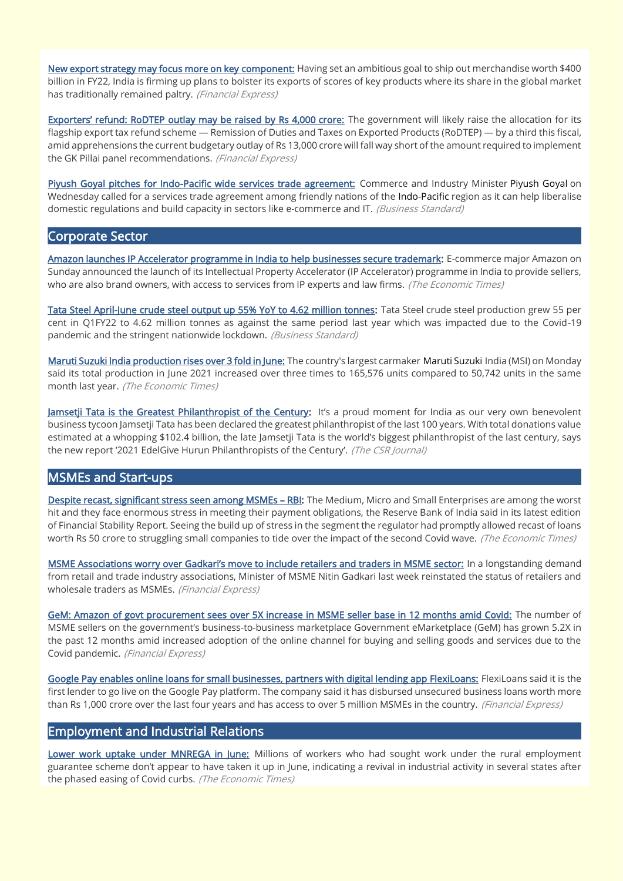[New export strategy may focus more on key component:](https://www.financialexpress.com/economy/new-export-strategy-may-focus-more-on-key-component/2283110/) Having set an ambitious goal to ship out merchandise worth \$400 billion in FY22, India is firming up plans to bolster its exports of scores of key products where its share in the global market has traditionally remained paltry. (Financial Express)

[Exporters' refund: RoDTEP outlay may be raised by Rs 4,000](https://www.financialexpress.com/economy/exporters-refund-rodtep-outlay-may-be-raised-by-rs-4000-crore/2283806/) crore: The government will likely raise the allocation for its flagship export tax refund scheme — Remission of Duties and Taxes on Exported Products (RoDTEP) — by a third this fiscal, amid apprehensions the current budgetary outlay of Rs 13,000 crore will fall way short of the amount required to implement the GK Pillai panel recommendations. (Financial Express)

[Piyush Goyal pitches for Indo-Pacific wide services trade agreement:](https://www.business-standard.com/article/economy-policy/piyush-goyal-pitches-for-indo-pacific-wide-services-trade-agreement-121070701002_1.html) Commerce and Industry Minister Piyush Goyal on Wednesday called for a services trade agreement among friendly nations of the Indo-Pacific region as it can help liberalise domestic regulations and build capacity in sectors like e-commerce and IT. (Business Standard)

#### Corporate Sector

[Amazon launches IP Accelerator programme in India to help businesses secure trademark:](https://economictimes.indiatimes.com/industry/services/retail/amazon-launches-ip-accelerator-programme-in-india-to-help-businesses-secure-trademark/articleshow/84113077.cms) E-commerce major Amazon on Sunday announced the launch of its Intellectual Property Accelerator (IP Accelerator) programme in India to provide sellers, who are also brand owners, with access to services from IP experts and law firms. (The Economic Times)

[Tata Steel April-June crude steel output up 55% YoY to 4.62 million tonnes:](https://www.business-standard.com/article/companies/tata-steel-april-june-crude-steel-output-up-55-yoy-to-4-62-million-tonnes-121070400560_1.html) Tata Steel crude steel production grew 55 per cent in Q1FY22 to 4.62 million tonnes as against the same period last year which was impacted due to the Covid-19 pandemic and the stringent nationwide lockdown. (Business Standard)

[Maruti Suzuki India production rises over 3 fold in June:](https://auto.economictimes.indiatimes.com/news/passenger-vehicle/cars/maruti-suzuki-india-production-rises-over-3-fold-in-june/84149899) The country's largest carmaker Maruti Suzuki India (MSI) on Monday said its total production in June 2021 increased over three times to 165,576 units compared to 50,742 units in the same month last year. (The Economic Times)

[Jamsetji Tata is the Greatest Philanthropist of the Century:](https://thecsrjournal.in/jamsetji-tata-biggest-philanthropist-century-hurun/) It's a proud moment for India as our very own benevolent business tycoon Jamsetji Tata has been declared the greatest philanthropist of the last 100 years. With total donations value estimated at a whopping \$102.4 billion, the late Jamsetji Tata is the world's biggest philanthropist of the last century, says the new report '2021 EdelGive Hurun Philanthropists of the Century'. (The CSR Journal)

# MSMEs and Start-ups

[Despite recast, significant stress seen among MSMEs](https://economictimes.indiatimes.com/industry/banking/finance/banking/despite-recast-significant-stress-seen-among-msmes-rbi/articleshow/84038865.cms?from=mdr) - RBI: The Medium, Micro and Small Enterprises are among the worst hit and they face enormous stress in meeting their payment obligations, the Reserve Bank of India said in its latest edition of Financial Stability Report. Seeing the build up of stress in the segment the regulator had promptly allowed recast of loans worth Rs 50 crore to struggling small companies to tide over the impact of the second Covid wave. (The Economic Times)

[MSME Associations worry over Gadkari's move to include retailers and traders in MSME](https://www.financialexpress.com/industry/sme/msme-associations-worry-over-gadkaris-move-to-include-retailers-and-traders-in-msme-sector/2284292/) sector: In a longstanding demand from retail and trade industry associations, Minister of MSME Nitin Gadkari last week reinstated the status of retailers and wholesale traders as MSMEs. (Financial Express)

[GeM: Amazon of govt procurement sees over 5X increase in MSME seller base in 12 months amid Covid:](https://www.financialexpress.com/industry/sme/msme-eodb-gem-amazon-of-govt-procurement-sees-over-5x-increase-in-msme-seller-base-in-12-months-amid-covid/2285112/) The number of MSME sellers on the government's business-to-business marketplace Government eMarketplace (GeM) has grown 5.2X in the past 12 months amid increased adoption of the online channel for buying and selling goods and services due to the Covid pandemic. (Financial Express)

[Google Pay enables online loans for small businesses, partners with digital lending app FlexiLoans:](https://www.financialexpress.com/industry/sme/msme-eodb-google-pay-enables-online-loans-for-small-businesses-partners-with-digital-lending-app-flexiloans/2284822/) FlexiLoans said it is the first lender to go live on the Google Pay platform. The company said it has disbursed unsecured business loans worth more than Rs 1,000 crore over the last four years and has access to over 5 million MSMEs in the country. (Financial Express)

#### Employment and Industrial Relations

[Lower work uptake under MNREGA in June:](https://economictimes.indiatimes.com/news/economy/indicators/lower-work-uptake-under-nrega-in-june/articleshow/84054838.cms?from=mdr) Millions of workers who had sought work under the rural employment guarantee scheme don't appear to have taken it up in June, indicating a revival in industrial activity in several states after the phased easing of Covid curbs. (The Economic Times)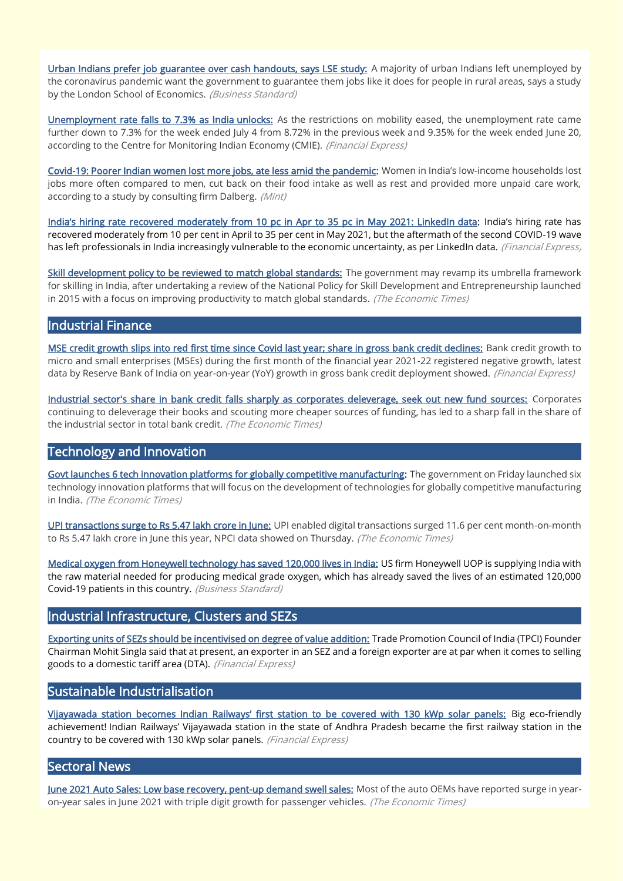[Urban Indians prefer job guarantee over cash handouts, says LSE study:](https://www.business-standard.com/article/economy-policy/urban-indians-prefer-job-guarantee-over-cash-handouts-says-lse-study-121070200080_1.html) A majority of urban Indians left unemployed by the coronavirus pandemic want the government to guarantee them jobs like it does for people in rural areas, says a study by the London School of Economics. (Business Standard)

[Unemployment rate falls to 7.3% as India unlocks:](https://www.financialexpress.com/economy/unemployment-rate-falls-to-7-3/2284451/) As the restrictions on mobility eased, the unemployment rate came further down to 7.3% for the week ended July 4 from 8.72% in the previous week and 9.35% for the week ended June 20, according to the Centre for Monitoring Indian Economy (CMIE). (Financial Express)

[Covid-19: Poorer Indian women lost more jobs, ate less amid the pandemic:](https://www.livemint.com/news/world/covid19-poorer-indian-women-lost-more-jobs-ate-less-amid-the-pandemic-11625475273817.html) Women in India's low-income households lost jobs more often compared to men, cut back on their food intake as well as rest and provided more unpaid care work, according to a study by consulting firm Dalberg. (Mint)

[India's hiring rate recovered moderately from 10 pc in Apr to 35 pc in May 2021: LinkedIn](https://www.financialexpress.com/economy/indias-hiring-rate-recovered-moderately-from-10-pc-in-apr-to-35-pc-in-may-2021-linkedin-data/2285064/) data: India's hiring rate has recovered moderately from 10 per cent in April to 35 per cent in May 2021, but the aftermath of the second COVID-19 wave has left professionals in India increasingly vulnerable to the economic uncertainty, as per LinkedIn data. (Financial Express)

[Skill development policy to be reviewed to match global standards:](https://economictimes.indiatimes.com/news/economy/policy/skilling-policy-to-be-reviewed/articleshow/84123667.cms) The government may revamp its umbrella framework for skilling in India, after undertaking a review of the National Policy for Skill Development and Entrepreneurship launched in 2015 with a focus on improving productivity to match global standards. (The Economic Times)

## Industrial Finance

[MSE credit growth slips into red first time since Covid last year; share in gross bank credit declines:](https://www.financialexpress.com/industry/sme/msme-fin-mse-credit-growth-slips-into-red-first-time-since-covid-last-year-share-in-gross-bank-credit-declines/2283635/) Bank credit growth to micro and small enterprises (MSEs) during the first month of the financial year 2021-22 registered negative growth, latest data by Reserve Bank of India on year-on-year (YoY) growth in gross bank credit deployment showed. (Financial Express)

[Industrial sector's share in bank credit falls sharply as corporates deleverage, seek out new fund sources:](https://economictimes.indiatimes.com/industry/banking/finance/banking/industrial-sectors-share-in-bank-credit-falls-sharply-as-corporates-deleverage-seek-out-new-fund-sources/articleshow/84114367.cms) Corporates continuing to deleverage their books and scouting more cheaper sources of funding, has led to a sharp fall in the share of the industrial sector in total bank credit. (The Economic Times)

# Technology and Innovation

[Govt launches 6 tech innovation platforms for globally competitive manufacturing:](https://economictimes.indiatimes.com/news/india/govt-launches-6-tech-innovation-platforms-for-globally-competitive-manufacturing/articleshow/84069828.cms) The government on Friday launched six technology innovation platforms that will focus on the development of technologies for globally competitive manufacturing in India. (The Economic Times)

[UPI transactions surge to Rs 5.47 lakh crore in June:](https://economictimes.indiatimes.com/industry/banking/finance/upi-transactions-surge-to-rs-5-47-lakh-crore-in-june/articleshow/84040684.cms) UPI enabled digital transactions surged 11.6 per cent month-on-month to Rs 5.47 lakh crore in June this year, NPCI data showed on Thursday. (The Economic Times)

[Medical oxygen from Honeywell technology has saved 120,000 lives in India:](https://www.business-standard.com/article/current-affairs/medical-oxygen-from-honeywell-technology-has-saved-120-000-lives-in-india-121070701487_1.html) US firm Honeywell UOP is supplying India with the raw material needed for producing medical grade oxygen, which has already saved the lives of an estimated 120,000 Covid-19 patients in this country. (Business Standard)

## Industrial Infrastructure, Clusters and SEZs

[Exporting units of SEZs should be incentivised on degree of value addition:](https://www.financialexpress.com/economy/exporting-units-of-sezs-should-be-incentivised-on-degree-of-value-addition-tpci/2283313/) Trade Promotion Council of India (TPCI) Founder Chairman Mohit Singla said that at present, an exporter in an SEZ and a foreign exporter are at par when it comes to selling goods to a domestic tariff area (DTA). (Financial Express)

## Sustainable Industrialisation

[Vijayawada station becomes Indian Railways' first station to be covered with 130 kWp solar panels:](https://www.financialexpress.com/infrastructure/railways/vijayawada-station-becomes-indian-railways-first-station-to-be-covered-with-130-kwp-solar-panels-details/2285772/) Big eco-friendly achievement! Indian Railways' Vijayawada station in the state of Andhra Pradesh became the first railway station in the country to be covered with 130 kWp solar panels. (Financial Express)

#### Sectoral News

[June 2021 Auto Sales: Low base recovery, pent-up demand swell sales:](https://auto.economictimes.indiatimes.com/news/industry/june-2021-auto-sales-low-base-recovery-pent-up-demand-swell-sales/84055589) Most of the auto OEMs have reported surge in yearon-year sales in June 2021 with triple digit growth for passenger vehicles. (The Economic Times)